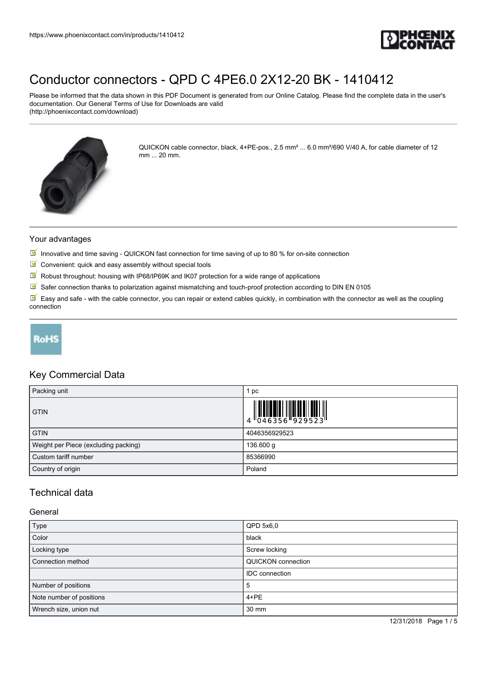

Please be informed that the data shown in this PDF Document is generated from our Online Catalog. Please find the complete data in the user's documentation. Our General Terms of Use for Downloads are valid (http://phoenixcontact.com/download)



QUICKON cable connector, black, 4+PE-pos., 2.5 mm² ... 6.0 mm²/690 V/40 A, for cable diameter of 12 mm ... 20 mm.

#### Your advantages

- Innovative and time saving QUICKON fast connection for time saving of up to 80 % for on-site connection
- $\blacksquare$  Convenient: quick and easy assembly without special tools
- $\boxed{\blacksquare}$  Robust throughout: housing with IP68/IP69K and IK07 protection for a wide range of applications
- $\boxed{\mathbb{M}}$  Safer connection thanks to polarization against mismatching and touch-proof protection according to DIN EN 0105

Easy and safe - with the cable connector, you can repair or extend cables quickly, in combination with the connector as well as the coupling connection



# Key Commercial Data

| Packing unit                         | pc            |
|--------------------------------------|---------------|
| <b>GTIN</b>                          |               |
| <b>GTIN</b>                          | 4046356929523 |
| Weight per Piece (excluding packing) | 136.600 g     |
| Custom tariff number                 | 85366990      |
| Country of origin                    | Poland        |

# Technical data

## General

| Type                     | QPD 5x6.0                 |
|--------------------------|---------------------------|
| Color                    | black                     |
| Locking type             | Screw locking             |
| Connection method        | <b>QUICKON</b> connection |
|                          | <b>IDC</b> connection     |
| Number of positions      | 5                         |
| Note number of positions | $4 + PE$                  |
| Wrench size, union nut   | 30 mm                     |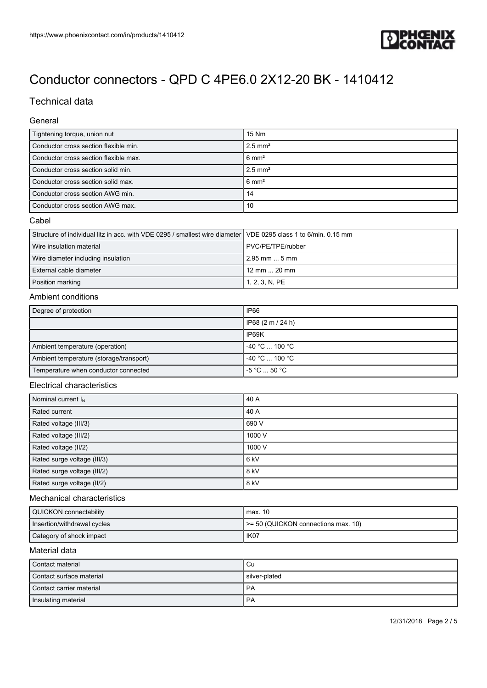

# Technical data

## General

| Tightening torque, union nut          | 15 Nm                 |
|---------------------------------------|-----------------------|
| Conductor cross section flexible min. | $2.5$ mm <sup>2</sup> |
| Conductor cross section flexible max. | $6 \text{ mm}^2$      |
| Conductor cross section solid min.    | $2.5$ mm <sup>2</sup> |
| Conductor cross section solid max.    | $6 \text{ mm}^2$      |
| Conductor cross section AWG min.      | 14                    |
| Conductor cross section AWG max.      | 10                    |

### Cabel

| Structure of individual litz in acc. with VDE 0295 / smallest wire diameter VDE 0295 class 1 to 6/min. 0.15 mm |                      |
|----------------------------------------------------------------------------------------------------------------|----------------------|
| Wire insulation material                                                                                       | PVC/PE/TPE/rubber    |
| Wire diameter including insulation                                                                             | $2.95$ mm $$ 5 mm    |
| External cable diameter                                                                                        | 12 mm $\ldots$ 20 mm |
| Position marking                                                                                               | 1, 2, 3, N, PE       |

## Ambient conditions

| Degree of protection                    | IP66                              |
|-----------------------------------------|-----------------------------------|
|                                         | IP68 (2 m / 24 h)                 |
|                                         | IP69K                             |
| Ambient temperature (operation)         | $-40 °C$ 100 °C                   |
| Ambient temperature (storage/transport) | $-40 °C$ 100 °C                   |
| Temperature when conductor connected    | $-5^{\circ}$ C $$ 50 $^{\circ}$ C |

#### Electrical characteristics

| Nominal current $I_N$       | 40 A   |
|-----------------------------|--------|
| Rated current               | 40 A   |
| Rated voltage (III/3)       | 690 V  |
| Rated voltage (III/2)       | 1000 V |
| Rated voltage (II/2)        | 1000 V |
| Rated surge voltage (III/3) | 6 kV   |
| Rated surge voltage (III/2) | 8 kV   |
| Rated surge voltage (II/2)  | 8 kV   |

#### Mechanical characteristics

| QUICKON connectability      | max. 10                             |
|-----------------------------|-------------------------------------|
| Insertion/withdrawal cycles | == 50 (QUICKON connections max. 10) |
| Category of shock impact    | IK <sub>07</sub>                    |

### Material data

| Contact material         | ∣ Cu          |
|--------------------------|---------------|
| Contact surface material | silver-plated |
| Contact carrier material | <b>PA</b>     |
| Insulating material      | <b>PA</b>     |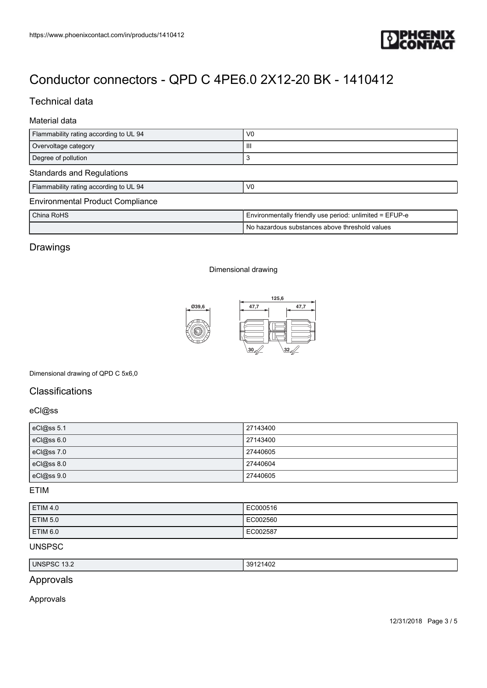

# Technical data

# Material data

| Flammability rating according to UL 94  | V <sub>0</sub>                                          |  |
|-----------------------------------------|---------------------------------------------------------|--|
| Overvoltage category                    | Ш                                                       |  |
| Degree of pollution                     | 3                                                       |  |
| <b>Standards and Regulations</b>        |                                                         |  |
| Flammability rating according to UL 94  | V <sub>0</sub>                                          |  |
| <b>Environmental Product Compliance</b> |                                                         |  |
| China RoHS                              | Environmentally friendly use period: unlimited = EFUP-e |  |
|                                         | No hazardous substances above threshold values          |  |

# Drawings

#### Dimensional drawing



### Dimensional drawing of QPD C 5x6,0

# **Classifications**

### eCl@ss

| eCl@ss 5.1        | 27143400 |
|-------------------|----------|
| eCl@ss 6.0        | 27143400 |
| eCl@ss7.0         | 27440605 |
| $c$ Cl $@$ ss 8.0 | 27440604 |
| eCl@ss 9.0        | 27440605 |

## ETIM

| ETIM <sub>4.0</sub> | EC000516 |
|---------------------|----------|
| ETIM 5.0            | EC002560 |
| ETIM <sub>6.0</sub> | EC002587 |

## UNSPSC

| <b>UNSPSC</b><br>ے.ں ا | 39121402 |
|------------------------|----------|
|                        |          |

# Approvals

### Approvals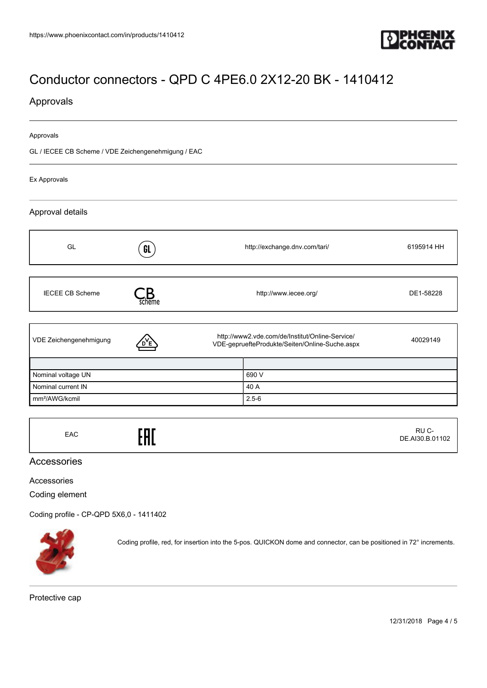

# Approvals

#### Approvals

GL / IECEE CB Scheme / VDE Zeichengenehmigung / EAC

Ex Approvals

## Approval details

| GL                         |        |                                                                                                   | http://exchange.dnv.com/tari/ | 6195914 HH |
|----------------------------|--------|---------------------------------------------------------------------------------------------------|-------------------------------|------------|
|                            | GL     |                                                                                                   |                               |            |
|                            |        |                                                                                                   |                               |            |
| <b>IECEE CB Scheme</b>     | scheme | http://www.iecee.org/                                                                             |                               | DE1-58228  |
|                            |        |                                                                                                   |                               |            |
| VDE Zeichengenehmigung     |        | http://www2.vde.com/de/Institut/Online-Service/<br>VDE-gepruefteProdukte/Seiten/Online-Suche.aspx |                               | 40029149   |
|                            |        |                                                                                                   |                               |            |
| Nominal voltage UN         |        |                                                                                                   | 690 V                         |            |
| Nominal current IN         |        |                                                                                                   | 40 A                          |            |
| mm <sup>2</sup> /AWG/kcmil |        |                                                                                                   | $2.5 - 6$                     |            |

EAC<sub>EAC</sub>ERE RU C-DE.AI30.B.01102

## Accessories

Accessories

Coding element

[Coding profile - CP-QPD 5X6,0 - 1411402](https://www.phoenixcontact.com/in/products/1411402)



Coding profile, red, for insertion into the 5-pos. QUICKON dome and connector, can be positioned in 72° increments.

Protective cap

12/31/2018 Page 4 / 5